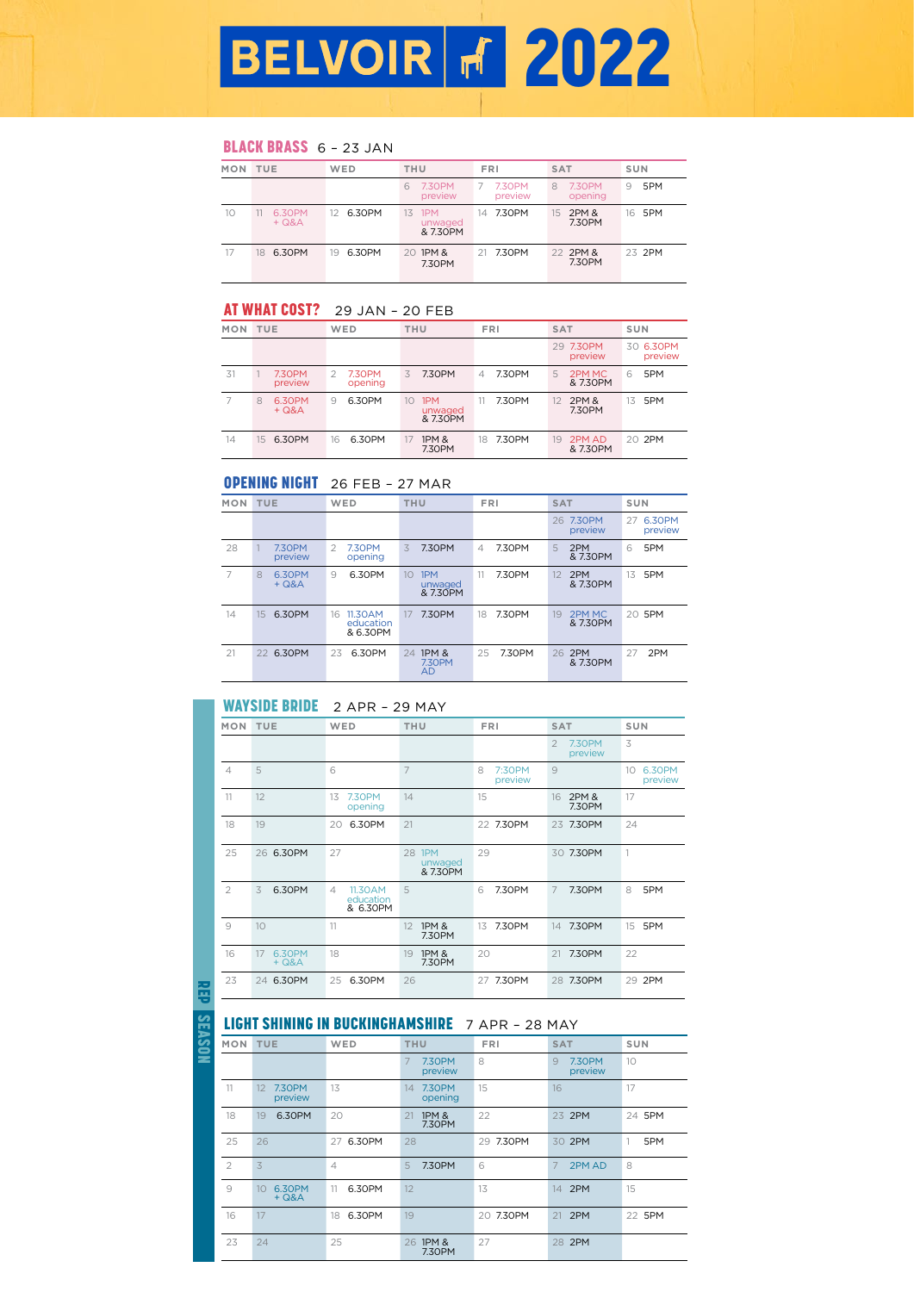# BLACK BRASS 6 - 23 JAN

| MON TUE |                   | WED           | <b>THU</b>                       | <b>FRI</b>        | <b>SAT</b>             | SUN      |
|---------|-------------------|---------------|----------------------------------|-------------------|------------------------|----------|
|         |                   |               | 7.30PM<br>6<br>preview           | 7.30PM<br>preview | 7.30PM<br>8<br>opening | 5PM<br>9 |
| 10      | 6.30PM<br>$+ Q&A$ | 6.30PM<br>12. | 1PM<br>13<br>unwaged<br>& 7.30PM | 14 7.30PM         | 2PM &<br>15<br>7.30PM  | 16 5PM   |
| 17      | 6.30PM<br>18      | 6.30PM<br>19. | 20 1PM &<br>7.30PM               | 21 7.30PM         | 22 2PM &<br>7.30PM     | 23 2PM   |

## AT WHAT COST? 29 JAN - 20 FEB

| MON TUE |                          | WED                           | THU                              | <b>FRI</b>   | <b>SAT</b>               | SUN                  |
|---------|--------------------------|-------------------------------|----------------------------------|--------------|--------------------------|----------------------|
|         |                          |                               |                                  |              | 29 7.30PM<br>preview     | 30 6.30PM<br>preview |
| 31      | <b>7.30PM</b><br>preview | <b>7.30PM</b><br>2<br>opening | 7.30PM<br>3.                     | 7.30PM<br>4  | 2PM MC<br>5<br>& 7.30PM  | 5PM<br>6             |
|         | 6.30PM<br>8<br>$+ Q&A$   | 6.30PM<br>9                   | 1PM<br>10<br>unwaged<br>& 7.30PM | 7.30PM       | 2PM &<br>12<br>7.30PM    | 5PM<br>13            |
| 14      | 6.30PM<br>15             | 6.30PM<br>16                  | <b>1PM &amp;</b><br>17<br>7.30PM | 7.30PM<br>18 | 2PM AD<br>19<br>& 7.30PM | 20 2PM               |

# OPENING NIGHT 26 FEB – 27 MAR

| <b>MON</b> | <b>TUE</b>               | WED                                     | <b>THU</b>                                | <b>FRI</b>   | <b>SAT</b>               | SUN                     |
|------------|--------------------------|-----------------------------------------|-------------------------------------------|--------------|--------------------------|-------------------------|
|            |                          |                                         |                                           |              | 26 7.30PM<br>preview     | 6.30PM<br>27<br>preview |
| 28         | <b>7.30PM</b><br>preview | 7.30PM<br>2<br>opening                  | 7.30PM<br>3                               | 7.30PM<br>4  | 2PM<br>5<br>& 7.30PM     | 5PM<br>6                |
| 7          | 6.30PM<br>8<br>$+ Q8A$   | 6.30PM<br>9                             | 1PM<br>10<br>unwaged<br>& 7.30PM          | 7.30PM<br>11 | 2PM<br>12<br>& 7.30PM    | 5PM<br>13               |
| 14         | 6.30PM<br>15             | 11.30AM<br>16.<br>education<br>& 6.30PM | 7.30PM<br>17                              | 7.30PM<br>18 | 2PM MC<br>19<br>& 7.30PM | 20 5PM                  |
| 21         | 6.30PM<br>22             | 6.30PM<br>23                            | 1PM &<br>24<br><b>7.30PM</b><br><b>AD</b> | 7.30PM<br>25 | 2PM<br>26<br>& 7.30PM    | 2PM<br>27               |

## WAYSIDE BRIDE 2 APR - 29 MAY

| <b>MON</b>     | TUE                     | WED                                   | <b>THU</b>                       | <b>FRI</b>             | <b>SAT</b>                                 | SUN                     |
|----------------|-------------------------|---------------------------------------|----------------------------------|------------------------|--------------------------------------------|-------------------------|
|                |                         |                                       |                                  |                        | $\overline{2}$<br><b>7.30PM</b><br>preview | 3                       |
| $\overline{4}$ | 5                       | 6                                     | $\overline{7}$                   | 8<br>7:30PM<br>preview | 9                                          | 6.30PM<br>10<br>preview |
| 11             | 12                      | <b>7.30PM</b><br>13<br>opening        | 14                               | 15                     | 2PM &<br>16<br>7.30PM                      | 17                      |
| 18             | 19                      | 6.30PM<br>20                          | 21                               | 22 7.30PM              | 7.30PM<br>23                               | 24                      |
| 25             | 6.30PM<br>26            | 27                                    | 28 1PM<br>unwaged<br>& 7.30PM    | 29                     | 7.30PM<br>30                               | 1                       |
| $\overline{2}$ | 6.30PM<br>3             | 11.30AM<br>4<br>education<br>& 6.30PM | 5                                | 7.30PM<br>6            | 7<br>7.30PM                                | 8<br>5PM                |
| 9              | 10                      | 11                                    | 1PM &<br>12<br>7.30PM            | 7.30PM<br>13           | 7.30PM<br>14                               | 5PM<br>15               |
| 16             | 6.30PM<br>17<br>$+ Q&A$ | 18                                    | <b>1PM &amp;</b><br>19<br>7.30PM | 20                     | 7.30PM<br>21                               | 22                      |
| 23             | 6.30PM<br>24            | 6.30PM<br>25                          | 26                               | 7.30PM<br>27           | 7.30PM<br>28                               | 29 2PM                  |

REP

SEASON

# LIGHT SHINING IN BUCKINGHAMSHIRE 7 APR - 28 MAY

| <b>MON</b>     | <b>TUE</b>              | WED            | <b>THU</b>                       | <b>FRI</b> | <b>SAT</b>             | SUN      |
|----------------|-------------------------|----------------|----------------------------------|------------|------------------------|----------|
|                |                         |                | <b>7.30PM</b><br>7<br>preview    | 8          | 9<br>7.30PM<br>preview | 10       |
| 11             | 7.30PM<br>12<br>preview | 13             | <b>7.30PM</b><br>14<br>opening   | 15         | 16                     | 17       |
| 18             | 6.30PM<br>19            | 20             | <b>1PM &amp;</b><br>21<br>7.30PM | 22         | 23 2PM                 | 24 5PM   |
| 25             | 26                      | 6.30PM<br>27   | 28                               | 29 7.30PM  | 30 2PM                 | 1<br>5PM |
| $\overline{2}$ | 3                       | $\overline{4}$ | 7.30PM<br>5                      | 6          | 7<br>2PM AD            | 8        |
| 9              | 6.30PM<br>10<br>$+ Q&A$ | 6.30PM<br>11   | 12                               | 13         | 2PM<br>14              | 15       |
| 16             | 17                      | 6.30PM<br>18   | 19                               | 20 7.30PM  | 2PM<br>21              | 22 5PM   |
| 23             | 24                      | 25             | <b>1PM &amp;</b><br>26<br>7.30PM | 27         | 2PM<br>28              |          |